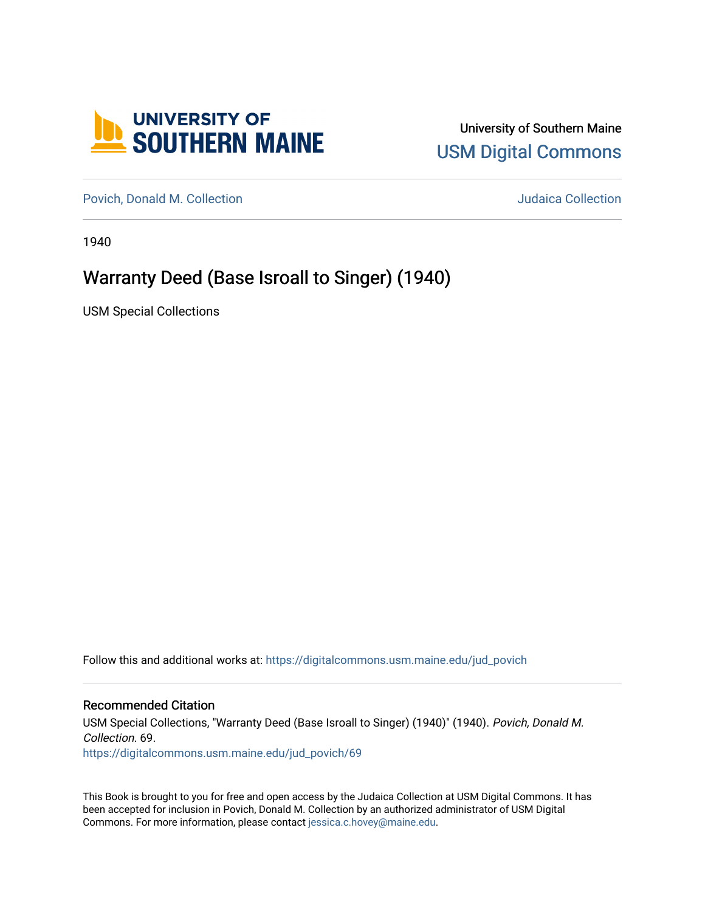

## University of Southern Maine [USM Digital Commons](https://digitalcommons.usm.maine.edu/)

[Povich, Donald M. Collection](https://digitalcommons.usm.maine.edu/jud_povich) **M. Automaker Collection** Judaica Collection

1940

# Warranty Deed (Base Isroall to Singer) (1940)

USM Special Collections

Follow this and additional works at: [https://digitalcommons.usm.maine.edu/jud\\_povich](https://digitalcommons.usm.maine.edu/jud_povich?utm_source=digitalcommons.usm.maine.edu%2Fjud_povich%2F69&utm_medium=PDF&utm_campaign=PDFCoverPages) 

### Recommended Citation

USM Special Collections, "Warranty Deed (Base Isroall to Singer) (1940)" (1940). Povich, Donald M. Collection. 69. [https://digitalcommons.usm.maine.edu/jud\\_povich/69](https://digitalcommons.usm.maine.edu/jud_povich/69?utm_source=digitalcommons.usm.maine.edu%2Fjud_povich%2F69&utm_medium=PDF&utm_campaign=PDFCoverPages)

This Book is brought to you for free and open access by the Judaica Collection at USM Digital Commons. It has been accepted for inclusion in Povich, Donald M. Collection by an authorized administrator of USM Digital Commons. For more information, please contact [jessica.c.hovey@maine.edu.](mailto:ian.fowler@maine.edu)